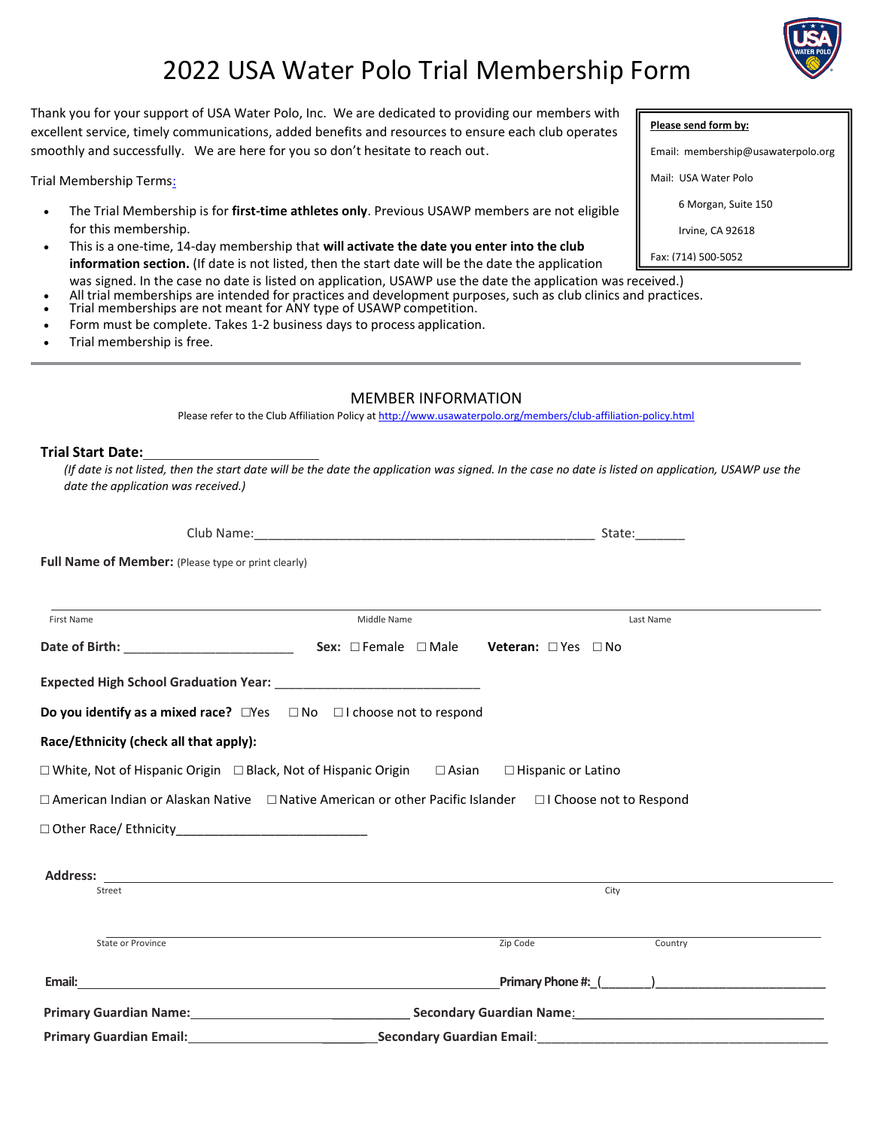# 2022 USA Water Polo Trial Membership Form

Thank you for your support of USA Water Polo, Inc. We are dedicated to providing our members with excellent service, timely communications, added benefits and resources to ensure each club operates smoothly and successfully. We are here for you so don't hesitate to reach out.

Trial Membership Terms:

- The Trial Membership is for **first-time athletes only**. Previous USAWP members are not eligible for this membership.
- This is a one-time, 14-day membership that **will activate the date you enter into the club information section.** (If date is not listed, then the start date will be the date the application was signed. In the case no date is listed on application, USAWP use the date the application was received.)
	- All trial memberships are intended for practices and development purposes, such as club clinics and practices.
- Trial memberships are not meant for ANY type of USAWP competition.
- Form must be complete. Takes 1-2 business days to process application.
- Trial membership is free.

#### MEMBER INFORMATION

Please refer to the Club Affiliation Policy a[t http://www.usawaterpolo.org/members/club-affiliation-policy.html](http://www.usawaterpolo.org/members/club-affiliation-policy.html)

#### **Trial Start Date:**

*(If date is not listed, then the start date will be the date the application was signed. In the case no date is listed on application, USAWP use the date the application was received.)*

| <b>Full Name of Member:</b> (Please type or print clearly)                                                               |             |          |           |  |
|--------------------------------------------------------------------------------------------------------------------------|-------------|----------|-----------|--|
|                                                                                                                          |             |          |           |  |
| First Name                                                                                                               | Middle Name |          | Last Name |  |
|                                                                                                                          |             |          |           |  |
|                                                                                                                          |             |          |           |  |
| <b>Do you identify as a mixed race?</b> $\Box$ Yes $\Box$ No $\Box$ I choose not to respond                              |             |          |           |  |
| Race/Ethnicity (check all that apply):                                                                                   |             |          |           |  |
| □ White, Not of Hispanic Origin □ Black, Not of Hispanic Origin □ Asian □ Hispanic or Latino                             |             |          |           |  |
| $\Box$ American Indian or Alaskan Native $\Box$ Native American or other Pacific Islander $\Box$ I Choose not to Respond |             |          |           |  |
|                                                                                                                          |             |          |           |  |
|                                                                                                                          |             |          |           |  |
| Street                                                                                                                   |             |          | City      |  |
| State or Province                                                                                                        |             | Zip Code | Country   |  |
|                                                                                                                          |             |          |           |  |
|                                                                                                                          |             |          |           |  |
| <b>Primary Guardian Email:</b><br><b>Secondary Guardian Email:</b>                                                       |             |          |           |  |



#### **Please send form by:**

Email: membership@usawaterpolo.org

Mail: USA Water Polo

6 Morgan, Suite 150

Irvine, CA 92618

Fax: (714) 500-5052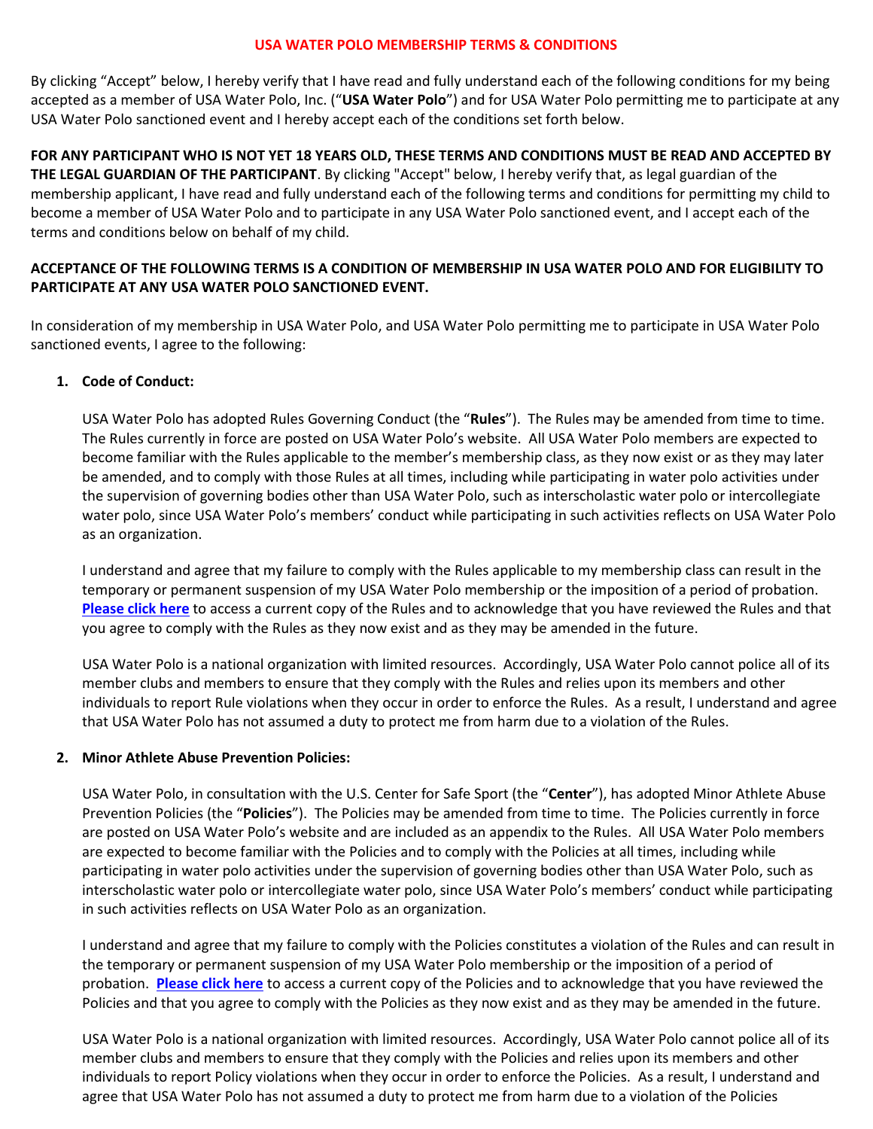#### **USA WATER POLO MEMBERSHIP TERMS & CONDITIONS**

By clicking "Accept" below, I hereby verify that I have read and fully understand each of the following conditions for my being accepted as a member of USA Water Polo, Inc. ("**USA Water Polo**") and for USA Water Polo permitting me to participate at any USA Water Polo sanctioned event and I hereby accept each of the conditions set forth below.

**FOR ANY PARTICIPANT WHO IS NOT YET 18 YEARS OLD, THESE TERMS AND CONDITIONS MUST BE READ AND ACCEPTED BY THE LEGAL GUARDIAN OF THE PARTICIPANT**. By clicking "Accept" below, I hereby verify that, as legal guardian of the membership applicant, I have read and fully understand each of the following terms and conditions for permitting my child to become a member of USA Water Polo and to participate in any USA Water Polo sanctioned event, and I accept each of the terms and conditions below on behalf of my child.

# **ACCEPTANCE OF THE FOLLOWING TERMS IS A CONDITION OF MEMBERSHIP IN USA WATER POLO AND FOR ELIGIBILITY TO PARTICIPATE AT ANY USA WATER POLO SANCTIONED EVENT.**

In consideration of my membership in USA Water Polo, and USA Water Polo permitting me to participate in USA Water Polo sanctioned events, I agree to the following:

# **1. Code of Conduct:**

USA Water Polo has adopted Rules Governing Conduct (the "**Rules**"). The Rules may be amended from time to time. The Rules currently in force are posted on USA Water Polo's website. All USA Water Polo members are expected to become familiar with the Rules applicable to the member's membership class, as they now exist or as they may later be amended, and to comply with those Rules at all times, including while participating in water polo activities under the supervision of governing bodies other than USA Water Polo, such as interscholastic water polo or intercollegiate water polo, since USA Water Polo's members' conduct while participating in such activities reflects on USA Water Polo as an organization.

I understand and agree that my failure to comply with the Rules applicable to my membership class can result in the temporary or permanent suspension of my USA Water Polo membership or the imposition of a period of probation. **[Please click here](https://usawaterpolo.org/sports/2018/12/19/rules-ethics.aspx)** to access a current copy of the Rules and to acknowledge that you have reviewed the Rules and that you agree to comply with the Rules as they now exist and as they may be amended in the future.

USA Water Polo is a national organization with limited resources. Accordingly, USA Water Polo cannot police all of its member clubs and members to ensure that they comply with the Rules and relies upon its members and other individuals to report Rule violations when they occur in order to enforce the Rules. As a result, I understand and agree that USA Water Polo has not assumed a duty to protect me from harm due to a violation of the Rules.

# **2. Minor Athlete Abuse Prevention Policies:**

USA Water Polo, in consultation with the U.S. Center for Safe Sport (the "**Center**"), has adopted Minor Athlete Abuse Prevention Policies (the "**Policies**"). The Policies may be amended from time to time. The Policies currently in force are posted on USA Water Polo's website and are included as an appendix to the Rules. All USA Water Polo members are expected to become familiar with the Policies and to comply with the Policies at all times, including while participating in water polo activities under the supervision of governing bodies other than USA Water Polo, such as interscholastic water polo or intercollegiate water polo, since USA Water Polo's members' conduct while participating in such activities reflects on USA Water Polo as an organization.

I understand and agree that my failure to comply with the Policies constitutes a violation of the Rules and can result in the temporary or permanent suspension of my USA Water Polo membership or the imposition of a period of probation. **[Please click here](https://usawaterpolo.org/sports/2018/12/19/rules-ethics.aspx)** to access a current copy of the Policies and to acknowledge that you have reviewed the Policies and that you agree to comply with the Policies as they now exist and as they may be amended in the future.

USA Water Polo is a national organization with limited resources. Accordingly, USA Water Polo cannot police all of its member clubs and members to ensure that they comply with the Policies and relies upon its members and other individuals to report Policy violations when they occur in order to enforce the Policies. As a result, I understand and agree that USA Water Polo has not assumed a duty to protect me from harm due to a violation of the Policies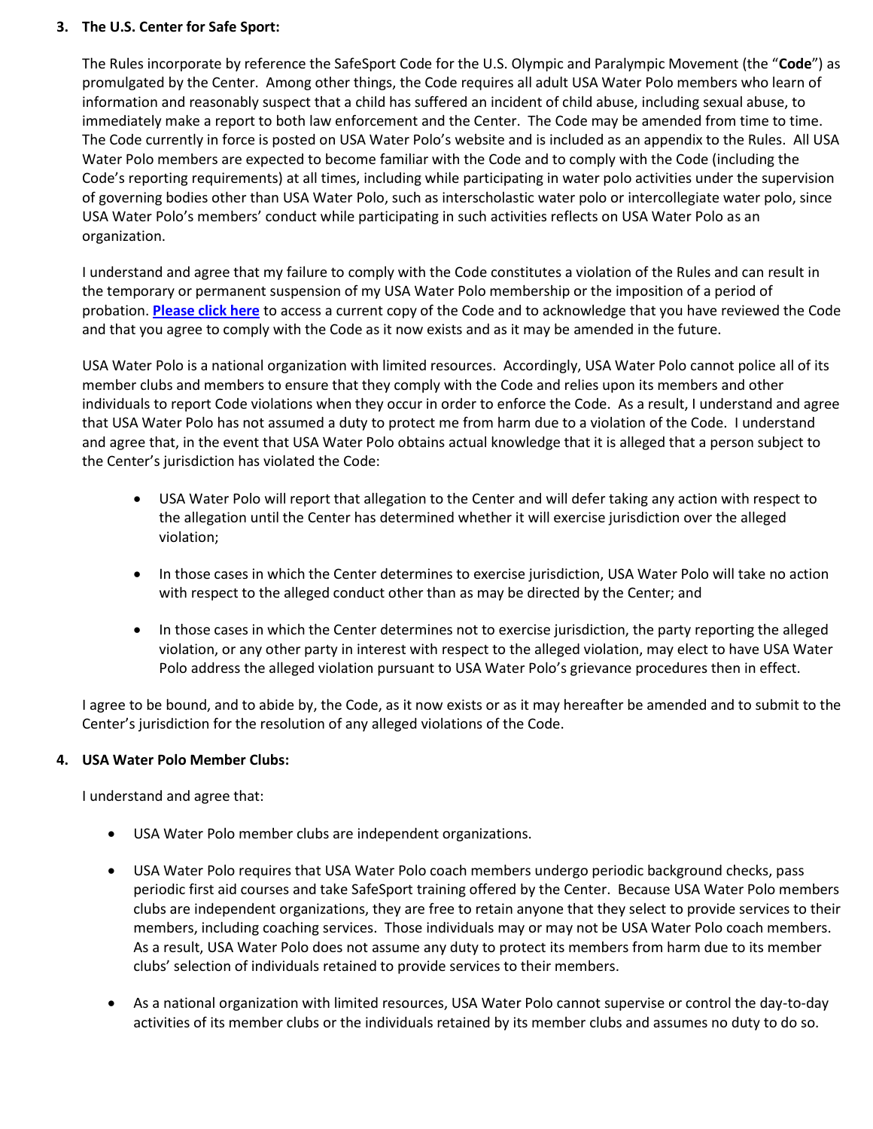# **3. The U.S. Center for Safe Sport:**

The Rules incorporate by reference the SafeSport Code for the U.S. Olympic and Paralympic Movement (the "**Code**") as promulgated by the Center. Among other things, the Code requires all adult USA Water Polo members who learn of information and reasonably suspect that a child has suffered an incident of child abuse, including sexual abuse, to immediately make a report to both law enforcement and the Center. The Code may be amended from time to time. The Code currently in force is posted on USA Water Polo's website and is included as an appendix to the Rules. All USA Water Polo members are expected to become familiar with the Code and to comply with the Code (including the Code's reporting requirements) at all times, including while participating in water polo activities under the supervision of governing bodies other than USA Water Polo, such as interscholastic water polo or intercollegiate water polo, since USA Water Polo's members' conduct while participating in such activities reflects on USA Water Polo as an organization.

I understand and agree that my failure to comply with the Code constitutes a violation of the Rules and can result in the temporary or permanent suspension of my USA Water Polo membership or the imposition of a period of probation. **[Please click here](https://usawaterpolo.org/sports/2018/12/19/rules-ethics.aspx)** to access a current copy of the Code and to acknowledge that you have reviewed the Code and that you agree to comply with the Code as it now exists and as it may be amended in the future.

USA Water Polo is a national organization with limited resources. Accordingly, USA Water Polo cannot police all of its member clubs and members to ensure that they comply with the Code and relies upon its members and other individuals to report Code violations when they occur in order to enforce the Code. As a result, I understand and agree that USA Water Polo has not assumed a duty to protect me from harm due to a violation of the Code. I understand and agree that, in the event that USA Water Polo obtains actual knowledge that it is alleged that a person subject to the Center's jurisdiction has violated the Code:

- USA Water Polo will report that allegation to the Center and will defer taking any action with respect to the allegation until the Center has determined whether it will exercise jurisdiction over the alleged violation;
- In those cases in which the Center determines to exercise jurisdiction, USA Water Polo will take no action with respect to the alleged conduct other than as may be directed by the Center; and
- In those cases in which the Center determines not to exercise jurisdiction, the party reporting the alleged violation, or any other party in interest with respect to the alleged violation, may elect to have USA Water Polo address the alleged violation pursuant to USA Water Polo's grievance procedures then in effect.

I agree to be bound, and to abide by, the Code, as it now exists or as it may hereafter be amended and to submit to the Center's jurisdiction for the resolution of any alleged violations of the Code.

# **4. USA Water Polo Member Clubs:**

I understand and agree that:

- USA Water Polo member clubs are independent organizations.
- USA Water Polo requires that USA Water Polo coach members undergo periodic background checks, pass periodic first aid courses and take SafeSport training offered by the Center. Because USA Water Polo members clubs are independent organizations, they are free to retain anyone that they select to provide services to their members, including coaching services. Those individuals may or may not be USA Water Polo coach members. As a result, USA Water Polo does not assume any duty to protect its members from harm due to its member clubs' selection of individuals retained to provide services to their members.
- As a national organization with limited resources, USA Water Polo cannot supervise or control the day-to-day activities of its member clubs or the individuals retained by its member clubs and assumes no duty to do so.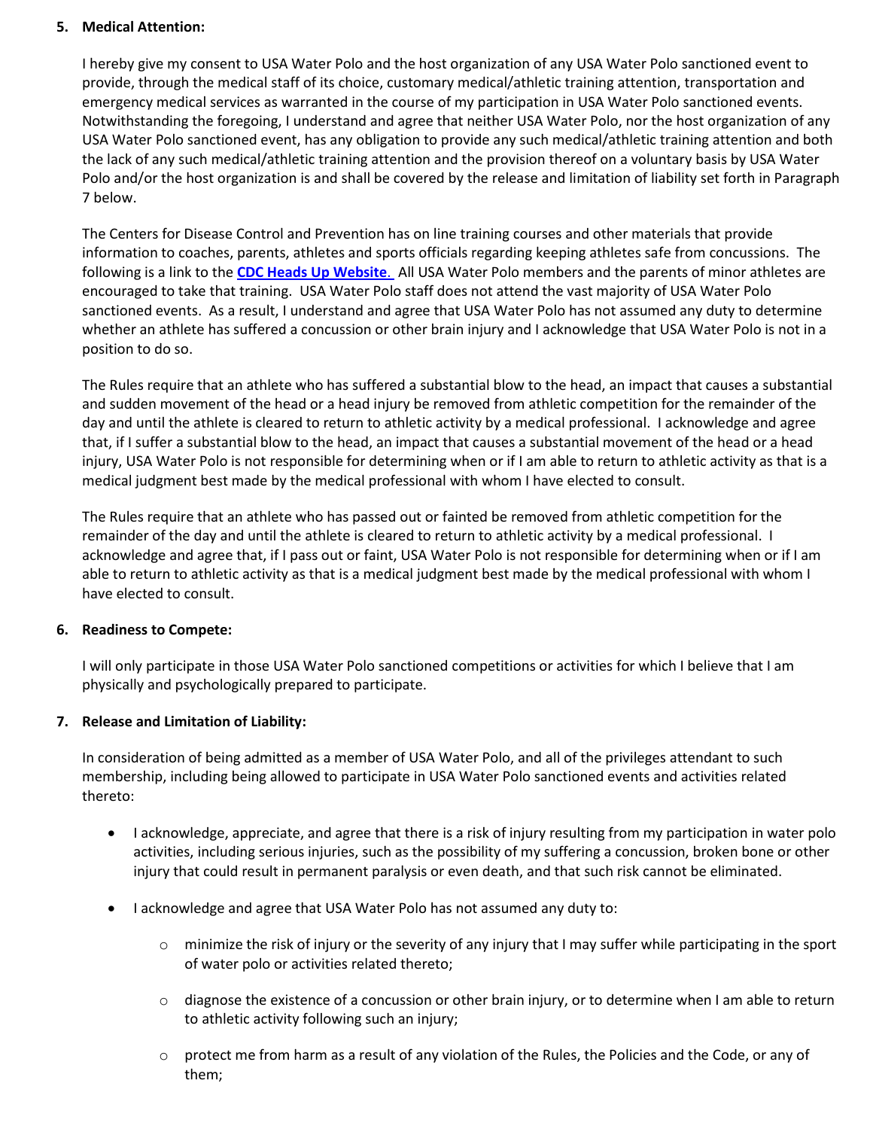# **5. Medical Attention:**

I hereby give my consent to USA Water Polo and the host organization of any USA Water Polo sanctioned event to provide, through the medical staff of its choice, customary medical/athletic training attention, transportation and emergency medical services as warranted in the course of my participation in USA Water Polo sanctioned events. Notwithstanding the foregoing, I understand and agree that neither USA Water Polo, nor the host organization of any USA Water Polo sanctioned event, has any obligation to provide any such medical/athletic training attention and both the lack of any such medical/athletic training attention and the provision thereof on a voluntary basis by USA Water Polo and/or the host organization is and shall be covered by the release and limitation of liability set forth in Paragraph 7 below.

The Centers for Disease Control and Prevention has on line training courses and other materials that provide information to coaches, parents, athletes and sports officials regarding keeping athletes safe from concussions. The following is a link to the **[CDC Heads Up Website](https://www.cdc.gov/headsup/resources/training.html)**. All USA Water Polo members and the parents of minor athletes are encouraged to take that training. USA Water Polo staff does not attend the vast majority of USA Water Polo sanctioned events. As a result, I understand and agree that USA Water Polo has not assumed any duty to determine whether an athlete has suffered a concussion or other brain injury and I acknowledge that USA Water Polo is not in a position to do so.

The Rules require that an athlete who has suffered a substantial blow to the head, an impact that causes a substantial and sudden movement of the head or a head injury be removed from athletic competition for the remainder of the day and until the athlete is cleared to return to athletic activity by a medical professional. I acknowledge and agree that, if I suffer a substantial blow to the head, an impact that causes a substantial movement of the head or a head injury, USA Water Polo is not responsible for determining when or if I am able to return to athletic activity as that is a medical judgment best made by the medical professional with whom I have elected to consult.

The Rules require that an athlete who has passed out or fainted be removed from athletic competition for the remainder of the day and until the athlete is cleared to return to athletic activity by a medical professional. I acknowledge and agree that, if I pass out or faint, USA Water Polo is not responsible for determining when or if I am able to return to athletic activity as that is a medical judgment best made by the medical professional with whom I have elected to consult.

# **6. Readiness to Compete:**

I will only participate in those USA Water Polo sanctioned competitions or activities for which I believe that I am physically and psychologically prepared to participate.

# **7. Release and Limitation of Liability:**

In consideration of being admitted as a member of USA Water Polo, and all of the privileges attendant to such membership, including being allowed to participate in USA Water Polo sanctioned events and activities related thereto:

- I acknowledge, appreciate, and agree that there is a risk of injury resulting from my participation in water polo activities, including serious injuries, such as the possibility of my suffering a concussion, broken bone or other injury that could result in permanent paralysis or even death, and that such risk cannot be eliminated.
- I acknowledge and agree that USA Water Polo has not assumed any duty to:
	- $\circ$  minimize the risk of injury or the severity of any injury that I may suffer while participating in the sport of water polo or activities related thereto;
	- $\circ$  diagnose the existence of a concussion or other brain injury, or to determine when I am able to return to athletic activity following such an injury;
	- $\circ$  protect me from harm as a result of any violation of the Rules, the Policies and the Code, or any of them;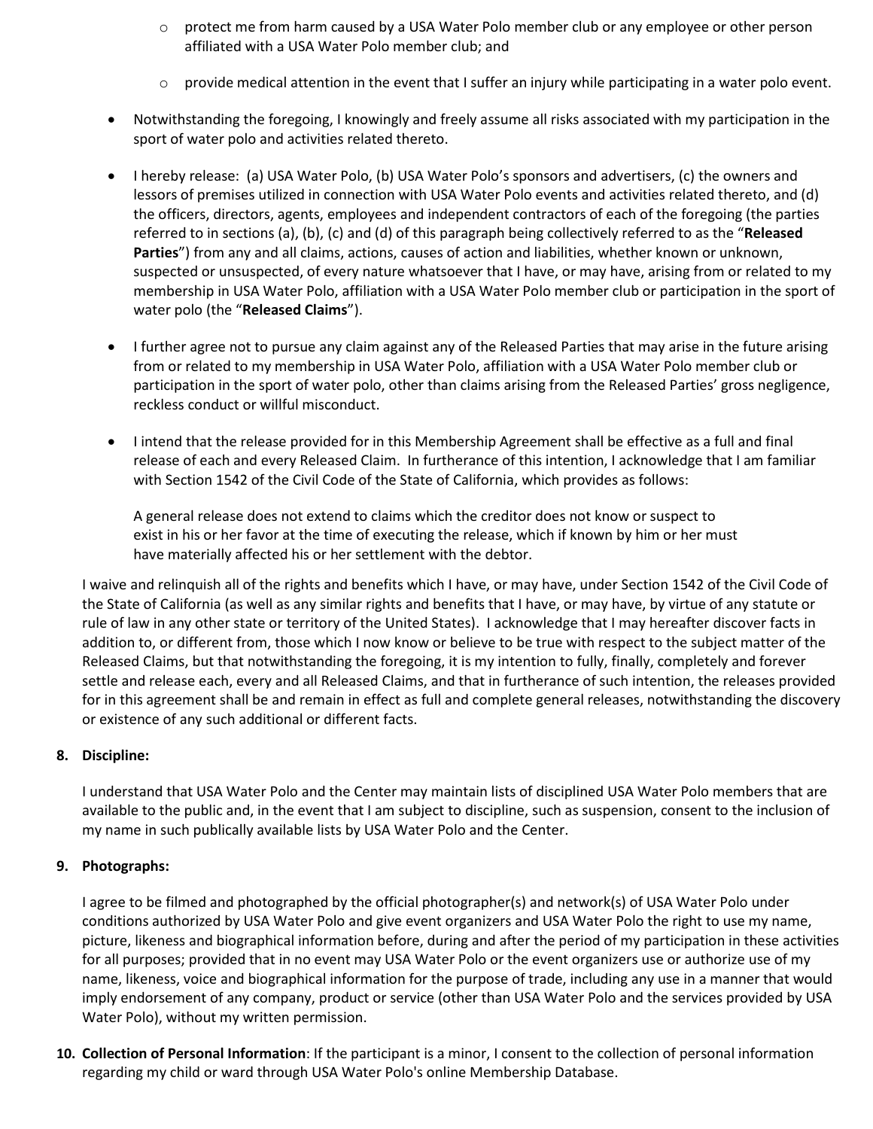- $\circ$  protect me from harm caused by a USA Water Polo member club or any employee or other person affiliated with a USA Water Polo member club; and
- $\circ$  provide medical attention in the event that I suffer an injury while participating in a water polo event.
- Notwithstanding the foregoing, I knowingly and freely assume all risks associated with my participation in the sport of water polo and activities related thereto.
- I hereby release: (a) USA Water Polo, (b) USA Water Polo's sponsors and advertisers, (c) the owners and lessors of premises utilized in connection with USA Water Polo events and activities related thereto, and (d) the officers, directors, agents, employees and independent contractors of each of the foregoing (the parties referred to in sections (a), (b), (c) and (d) of this paragraph being collectively referred to as the "**Released Parties**") from any and all claims, actions, causes of action and liabilities, whether known or unknown, suspected or unsuspected, of every nature whatsoever that I have, or may have, arising from or related to my membership in USA Water Polo, affiliation with a USA Water Polo member club or participation in the sport of water polo (the "**Released Claims**").
- I further agree not to pursue any claim against any of the Released Parties that may arise in the future arising from or related to my membership in USA Water Polo, affiliation with a USA Water Polo member club or participation in the sport of water polo, other than claims arising from the Released Parties' gross negligence, reckless conduct or willful misconduct.
- I intend that the release provided for in this Membership Agreement shall be effective as a full and final release of each and every Released Claim. In furtherance of this intention, I acknowledge that I am familiar with Section 1542 of the Civil Code of the State of California, which provides as follows:

A general release does not extend to claims which the creditor does not know or suspect to exist in his or her favor at the time of executing the release, which if known by him or her must have materially affected his or her settlement with the debtor.

I waive and relinquish all of the rights and benefits which I have, or may have, under Section 1542 of the Civil Code of the State of California (as well as any similar rights and benefits that I have, or may have, by virtue of any statute or rule of law in any other state or territory of the United States). I acknowledge that I may hereafter discover facts in addition to, or different from, those which I now know or believe to be true with respect to the subject matter of the Released Claims, but that notwithstanding the foregoing, it is my intention to fully, finally, completely and forever settle and release each, every and all Released Claims, and that in furtherance of such intention, the releases provided for in this agreement shall be and remain in effect as full and complete general releases, notwithstanding the discovery or existence of any such additional or different facts.

# **8. Discipline:**

I understand that USA Water Polo and the Center may maintain lists of disciplined USA Water Polo members that are available to the public and, in the event that I am subject to discipline, such as suspension, consent to the inclusion of my name in such publically available lists by USA Water Polo and the Center.

# **9. Photographs:**

I agree to be filmed and photographed by the official photographer(s) and network(s) of USA Water Polo under conditions authorized by USA Water Polo and give event organizers and USA Water Polo the right to use my name, picture, likeness and biographical information before, during and after the period of my participation in these activities for all purposes; provided that in no event may USA Water Polo or the event organizers use or authorize use of my name, likeness, voice and biographical information for the purpose of trade, including any use in a manner that would imply endorsement of any company, product or service (other than USA Water Polo and the services provided by USA Water Polo), without my written permission.

**10. Collection of Personal Information**: If the participant is a minor, I consent to the collection of personal information regarding my child or ward through USA Water Polo's online Membership Database.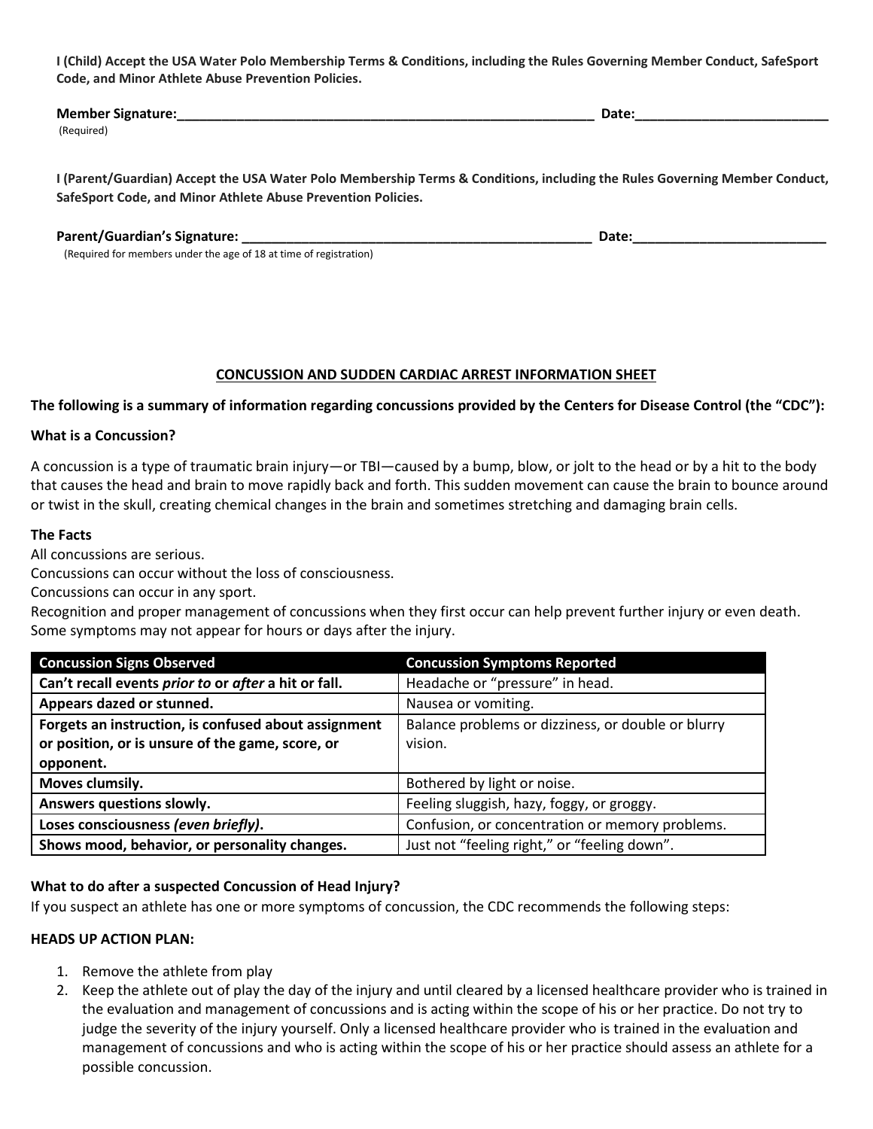**I (Child) Accept the USA Water Polo Membership Terms & Conditions, including the Rules Governing Member Conduct, SafeSport Code, and Minor Athlete Abuse Prevention Policies.**

| <b>Member Signature:</b> | Date: |  |
|--------------------------|-------|--|
| (Required)               |       |  |

**I (Parent/Guardian) Accept the USA Water Polo Membership Terms & Conditions, including the Rules Governing Member Conduct, SafeSport Code, and Minor Athlete Abuse Prevention Policies.**

#### **Parent/Guardian's Signature: \_\_\_\_\_\_\_\_\_\_\_\_\_\_\_\_\_\_\_\_\_\_\_\_\_\_\_\_\_\_\_\_\_\_\_\_\_\_\_\_\_\_\_\_\_\_\_ Date:\_\_\_\_\_\_\_\_\_\_\_\_\_\_\_\_\_\_\_\_\_\_\_\_\_\_**

(Required for members under the age of 18 at time of registration)

#### **CONCUSSION AND SUDDEN CARDIAC ARREST INFORMATION SHEET**

**The following is a summary of information regarding concussions provided by the Centers for Disease Control (the "CDC"):**

#### **What is a Concussion?**

A concussion is a type of traumatic brain injury—or TBI—caused by a bump, blow, or jolt to the head or by a hit to the body that causes the head and brain to move rapidly back and forth. This sudden movement can cause the brain to bounce around or twist in the skull, creating chemical changes in the brain and sometimes stretching and damaging brain cells.

#### **The Facts**

All concussions are serious.

Concussions can occur without the loss of consciousness.

Concussions can occur in any sport.

Recognition and proper management of concussions when they first occur can help prevent further injury or even death. Some symptoms may not appear for hours or days after the injury.

| <b>Concussion Signs Observed</b>                                                       | <b>Concussion Symptoms Reported</b>                |  |
|----------------------------------------------------------------------------------------|----------------------------------------------------|--|
| Can't recall events prior to or after a hit or fall.                                   | Headache or "pressure" in head.                    |  |
| Appears dazed or stunned.                                                              | Nausea or vomiting.                                |  |
| Forgets an instruction, is confused about assignment                                   | Balance problems or dizziness, or double or blurry |  |
| or position, or is unsure of the game, score, or                                       | vision.                                            |  |
| opponent.                                                                              |                                                    |  |
| Moves clumsily.                                                                        | Bothered by light or noise.                        |  |
| Answers questions slowly.                                                              | Feeling sluggish, hazy, foggy, or groggy.          |  |
| Loses consciousness (even briefly).<br>Confusion, or concentration or memory problems. |                                                    |  |
| Shows mood, behavior, or personality changes.                                          | Just not "feeling right," or "feeling down".       |  |

# **What to do after a suspected Concussion of Head Injury?**

If you suspect an athlete has one or more symptoms of concussion, the CDC recommends the following steps:

#### **HEADS UP ACTION PLAN:**

- 1. Remove the athlete from play
- 2. Keep the athlete out of play the day of the injury and until cleared by a licensed healthcare provider who is trained in the evaluation and management of concussions and is acting within the scope of his or her practice. Do not try to judge the severity of the injury yourself. Only a licensed healthcare provider who is trained in the evaluation and management of concussions and who is acting within the scope of his or her practice should assess an athlete for a possible concussion.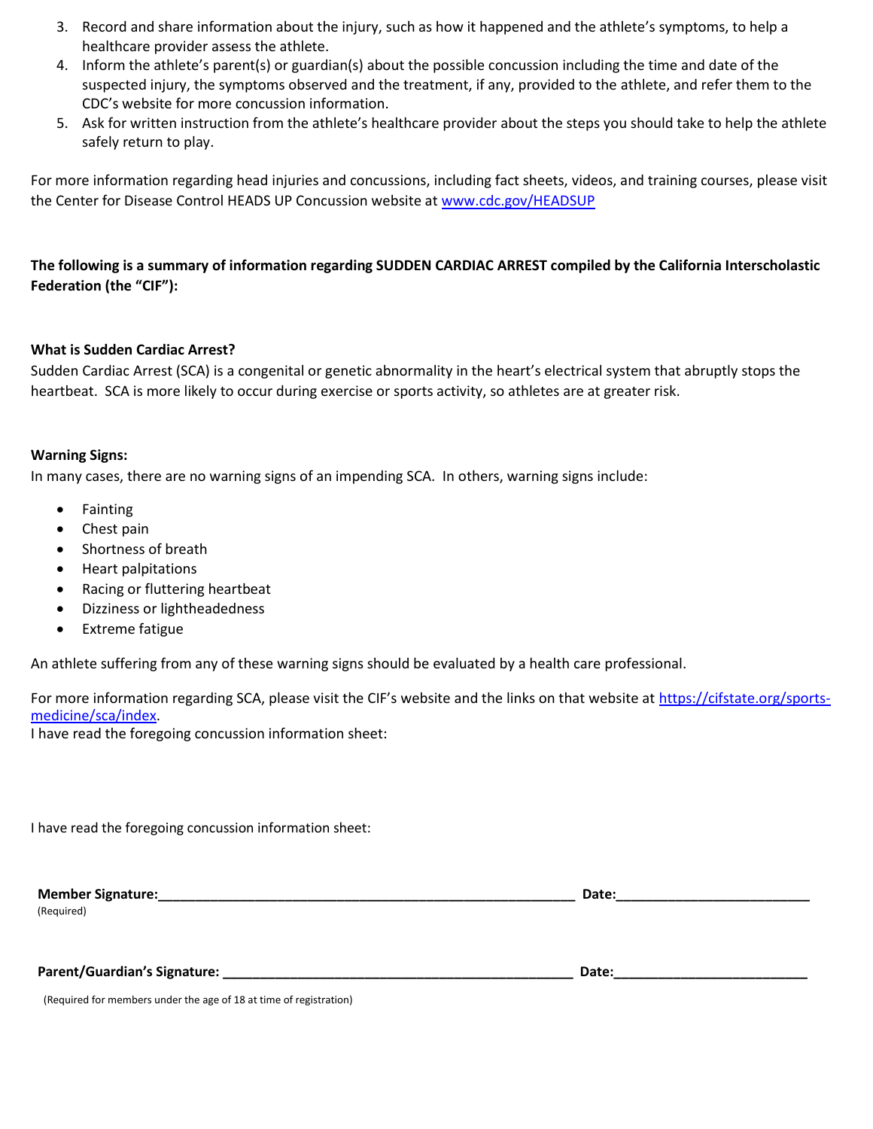- 3. Record and share information about the injury, such as how it happened and the athlete's symptoms, to help a healthcare provider assess the athlete.
- 4. Inform the athlete's parent(s) or guardian(s) about the possible concussion including the time and date of the suspected injury, the symptoms observed and the treatment, if any, provided to the athlete, and refer them to the CDC's website for more concussion information.
- 5. Ask for written instruction from the athlete's healthcare provider about the steps you should take to help the athlete safely return to play.

For more information regarding head injuries and concussions, including fact sheets, videos, and training courses, please visit the Center for Disease Control HEADS UP Concussion website a[t www.cdc.gov/HEADSUP](http://www.cdc.gov/HEADSUP)

# **The following is a summary of information regarding SUDDEN CARDIAC ARREST compiled by the California Interscholastic Federation (the "CIF"):**

# **What is Sudden Cardiac Arrest?**

Sudden Cardiac Arrest (SCA) is a congenital or genetic abnormality in the heart's electrical system that abruptly stops the heartbeat. SCA is more likely to occur during exercise or sports activity, so athletes are at greater risk.

# **Warning Signs:**

In many cases, there are no warning signs of an impending SCA. In others, warning signs include:

- Fainting
- Chest pain
- Shortness of breath
- Heart palpitations
- Racing or fluttering heartbeat
- Dizziness or lightheadedness
- Extreme fatigue

An athlete suffering from any of these warning signs should be evaluated by a health care professional.

For more information regarding SCA, please visit the CIF's website and the links on that website at [https://cifstate.org/sports](https://cifstate.org/sports-medicine/sca/index)[medicine/sca/index.](https://cifstate.org/sports-medicine/sca/index)

I have read the foregoing concussion information sheet:

| <b>Member Signature:</b> | Date: |
|--------------------------|-------|
| (Required)               |       |

 **Parent/Guardian's Signature: \_\_\_\_\_\_\_\_\_\_\_\_\_\_\_\_\_\_\_\_\_\_\_\_\_\_\_\_\_\_\_\_\_\_\_\_\_\_\_\_\_\_\_\_\_\_\_ Date:\_\_\_\_\_\_\_\_\_\_\_\_\_\_\_\_\_\_\_\_\_\_\_\_\_\_**

(Required for members under the age of 18 at time of registration)